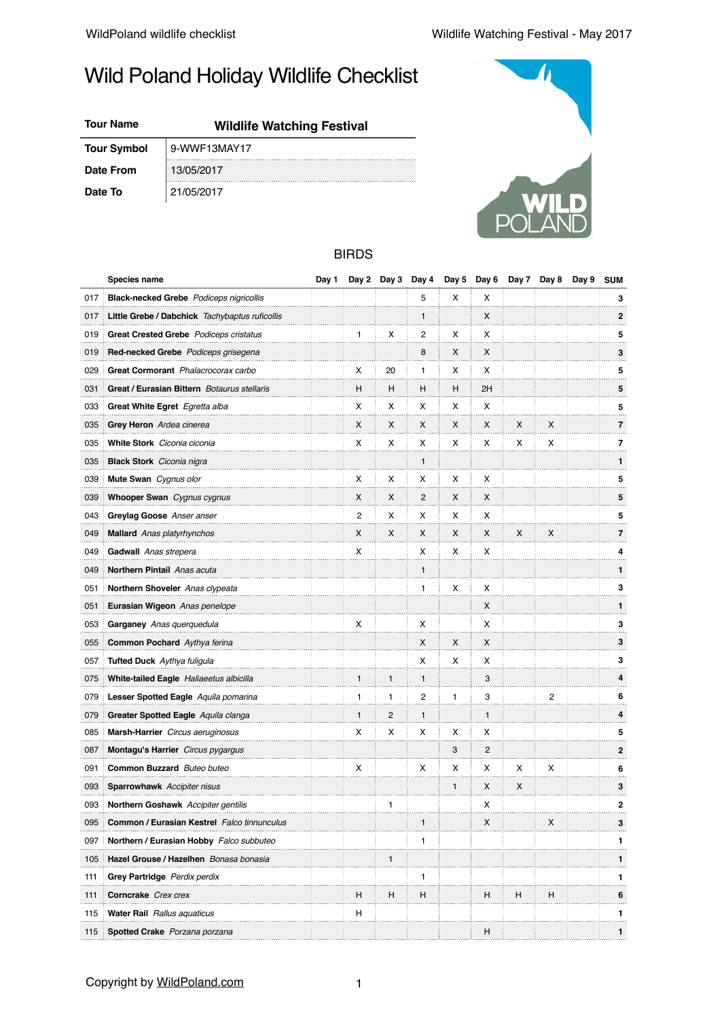# Wild Poland Holiday Wildlife Checklist

## **Tour Name Wildlife Watching Festival**

**Date From** 13/05/2017

**Tour Symbol** 9-WWF13MAY17





### BIRDS

|     | Species name                                   | Day 1 | Day 2 |              | Day 3 Day 4  | Day 5        | Day 6          | Day 7 | Day 8 | Day 9 | <b>SUM</b>     |
|-----|------------------------------------------------|-------|-------|--------------|--------------|--------------|----------------|-------|-------|-------|----------------|
| 017 | <b>Black-necked Grebe</b> Podiceps nigricollis |       |       |              | 5            | х            | х              |       |       |       | 3              |
| 017 | Little Grebe / Dabchick Tachybaptus ruficollis |       |       |              | $\mathbf{1}$ |              | X              |       |       |       | $\overline{2}$ |
| 019 | Great Crested Grebe Podiceps cristatus         |       | 1     | х            | 2            | х            | х              |       |       |       | 5              |
| 019 | Red-necked Grebe Podiceps grisegena            |       |       |              | 8            | X            | X              |       |       |       | 3              |
| 029 | Great Cormorant Phalacrocorax carbo            |       | х     | 20           | 1            | х            | х              |       |       |       | 5              |
| 031 | Great / Eurasian Bittern Botaurus stellaris    |       | н     | н            | H            | н            | 2H             |       |       |       | 5              |
| 033 | Great White Egret Egretta alba                 |       | х     | х            | х            | х            | х              |       |       |       | 5              |
| 035 | Grey Heron Ardea cinerea                       |       | X     | X            | X            | X            | X              | X     | X     |       | $\overline{7}$ |
| 035 | White Stork Ciconia ciconia                    |       | х     | x            | x            | х            | х              | х     | х     |       | 7              |
| 035 | <b>Black Stork</b> Ciconia nigra               |       |       |              | 1            |              |                |       |       |       | 1              |
| 039 | Mute Swan Cygnus olor                          |       | х     | х            | х            | х            | х              |       |       |       | 5              |
| 039 | Whooper Swan Cygnus cygnus                     |       | X     | X            | 2            | X            | X              |       |       |       | 5              |
| 043 | Greylag Goose Anser anser                      |       | 2     | х            | х            | х            | х              |       |       |       | 5              |
| 049 | <b>Mallard</b> Anas platyrhynchos              |       | X     | X            | X            | X            | X              | x     | X     |       | 7              |
| 049 | Gadwall Anas strepera                          |       | х     |              | х            | х            | х              |       |       |       | 4              |
| 049 | Northern Pintail Anas acuta                    |       |       |              | 1            |              |                |       |       |       | 1              |
| 051 | Northern Shoveler Anas clypeata                |       |       |              | 1            | х            | х              |       |       |       | 3              |
| 051 | Eurasian Wigeon Anas penelope                  |       |       |              |              |              | X              |       |       |       | 1              |
| 053 | Garganey Anas querquedula                      |       | х     |              | х            |              | х              |       |       |       | 3              |
| 055 | <b>Common Pochard</b> Aythya ferina            |       |       |              | X            | X            | X              |       |       |       | 3              |
| 057 | Tufted Duck Aythya fuligula                    |       |       |              | x            | х            | х              |       |       |       | 3              |
| 075 | White-tailed Eagle Haliaeetus albicilla        |       | 1     | $\mathbf{1}$ | 1            |              | 3              |       |       |       | 4              |
| 079 | Lesser Spotted Eagle Aquila pomarina           |       | 1     | 1            | 2            | 1            | 3              |       | 2     |       | 6              |
| 079 | Greater Spotted Eagle Aquila clanga            |       | 1     | 2            | 1            |              | 1              |       |       |       | 4              |
| 085 | Marsh-Harrier Circus aeruginosus               |       | х     | х            | х            | х            | х              |       |       |       | 5              |
| 087 | Montagu's Harrier Circus pygargus              |       |       |              |              | 3            | $\overline{c}$ |       |       |       | $\overline{2}$ |
| 091 | Common Buzzard Buteo buteo                     |       | х     |              | х            | х            | х              | x     | х     |       | 6              |
| 093 | <b>Sparrowhawk</b> Accipiter nisus             |       |       |              |              | $\mathbf{1}$ | X              | X     |       |       | 3              |
| 093 | <b>Northern Goshawk</b> Accipiter gentilis     |       |       | 1            |              |              | х              |       |       |       | $\mathbf{2}$   |
| 095 | Common / Eurasian Kestrel Falco tinnunculus    |       |       |              | 1            |              | х              |       | X     |       | 3              |
| 097 | Northern / Eurasian Hobby Falco subbuteo       |       |       |              | 1            |              |                |       |       |       | 1              |
| 105 | Hazel Grouse / Hazelhen Bonasa bonasia         |       |       | 1            |              |              |                |       |       |       | 1              |
| 111 | Grey Partridge Perdix perdix                   |       |       |              | 1            |              |                |       |       |       | 1              |
| 111 | Corncrake Crex crex                            |       | н     | н            | н            |              | н              | н     | н     |       | 6              |
| 115 | <b>Water Rail</b> Rallus aquaticus             |       | н     |              |              |              |                |       |       |       | 1              |
| 115 | Spotted Crake Porzana porzana                  |       |       |              |              |              | H              |       |       |       | 1              |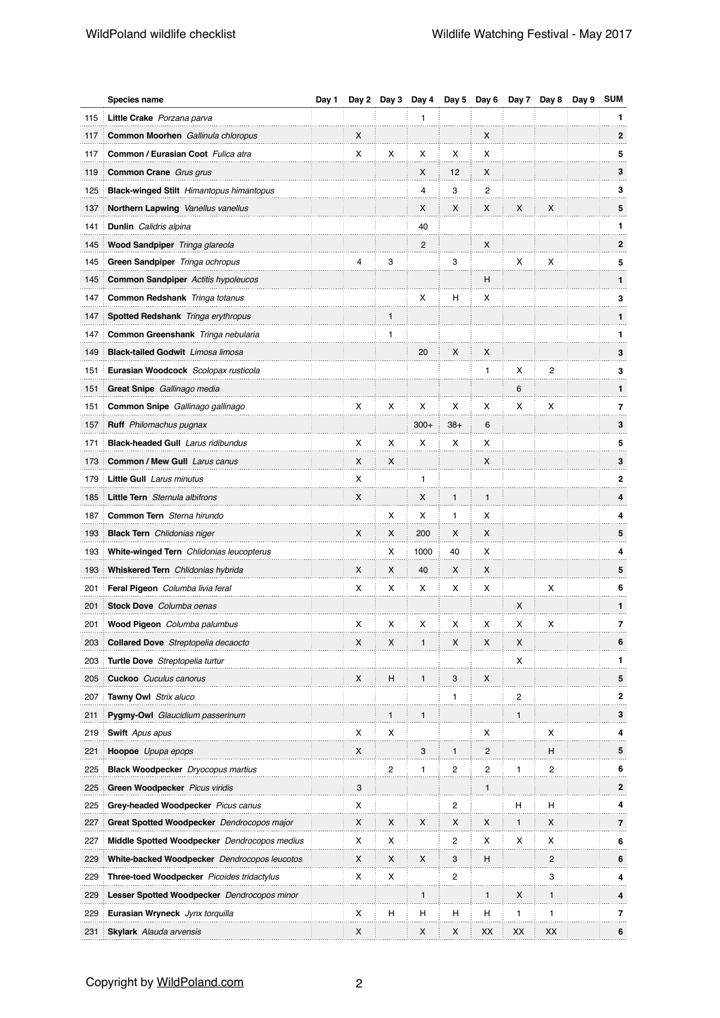|     | Species name                                    | Day 1 | Day 2 | Day 3        | Day 4        | Day 5        | Day 6          | Day 7        | Day 8                   | Day 9 | <b>SUM</b>     |
|-----|-------------------------------------------------|-------|-------|--------------|--------------|--------------|----------------|--------------|-------------------------|-------|----------------|
| 115 | Little Crake Porzana parva                      |       |       |              | 1            |              |                |              |                         |       | 1              |
| 117 | Common Moorhen Gallinula chloropus              |       | X     |              |              |              | X              |              |                         |       | $\mathbf{2}$   |
| 117 | Common / Eurasian Coot Fulica atra              |       | X     | х            | х            | х            | х              |              |                         |       | 5              |
| 119 | Common Crane Grus grus                          |       |       |              | X            | 12           | x              |              |                         |       | 3              |
| 125 | <b>Black-winged Stilt</b> Himantopus himantopus |       |       |              | 4            | 3            | 2              |              |                         |       | 3              |
| 137 | Northern Lapwing Vanellus vanellus              |       |       |              | X            | x            | X              | x            | X                       |       | 5              |
| 141 | Dunlin Calidris alpina                          |       |       |              | 40           |              |                |              |                         |       | 1              |
| 145 | Wood Sandpiper Tringa glareola                  |       |       |              | 2            |              | x              |              |                         |       | $\mathbf{2}$   |
| 145 | Green Sandpiper Tringa ochropus                 |       | 4     | 3            |              | 3            |                | х            | х                       |       | 5              |
| 145 | Common Sandpiper Actitis hypoleucos             |       |       |              |              |              | н              |              |                         |       | 1              |
| 147 | <b>Common Redshank</b> Tringa totanus           |       |       |              | X            | н            | х              |              |                         |       | 3              |
| 147 | Spotted Redshank Tringa erythropus              |       |       | 1            |              |              |                |              |                         |       | 1              |
| 147 | Common Greenshank Tringa nebularia              |       |       | 1            |              |              |                |              |                         |       | 1              |
| 149 | <b>Black-tailed Godwit</b> Limosa limosa        |       |       |              | 20           | X            | X              |              |                         |       | 3              |
| 151 | Eurasian Woodcock Scolopax rusticola            |       |       |              |              |              | 1              | х            | 2                       |       | 3              |
| 151 | Great Snipe Gallinago media                     |       |       |              |              |              |                | 6            |                         |       | 1              |
| 151 | <b>Common Snipe</b> Gallinago gallinago         |       | X     | х            | х            | х            | х              | х            | х                       |       | 7              |
| 157 | <b>Ruff</b> Philomachus pugnax                  |       |       |              | $300+$       | $38+$        | 6              |              |                         |       | 3              |
| 171 | <b>Black-headed Gull</b> Larus ridibundus       |       | х     | х            | х            | х            | х              |              |                         |       | 5              |
| 173 | <b>Common / Mew Gull Larus canus</b>            |       | X     | X            |              |              | X              |              |                         |       | 3              |
| 179 | <b>Little Gull</b> Larus minutus                |       | X     |              | 1            |              |                |              |                         |       | $\mathbf{2}$   |
| 185 | Little Tern Sternula albifrons                  |       | X     |              | X            | $\mathbf{1}$ | $\mathbf{1}$   |              |                         |       | 4              |
| 187 | Common Tern Sterna hirundo                      |       |       | х            | х            | 1            | х              |              |                         |       | 4              |
| 193 | <b>Black Tern</b> Chlidonias niger              |       | X     | x            | 200          | х            | x              |              |                         |       | 5              |
| 193 | White-winged Tern Chlidonias leucopterus        |       |       | х            | 1000         | 40           | х              |              |                         |       | 4              |
| 193 | Whiskered Tern Chlidonias hybrida               |       | X     | X            | 40           | X            | x              |              |                         |       | 5              |
| 201 | Feral Pigeon Columba livia feral                |       | х     | х            | х            | х            | х              |              | х                       |       | 6              |
| 201 | Stock Dove Columba oenas                        |       |       |              |              |              |                | X            |                         |       | 1              |
| 201 | Wood Pigeon Columba palumbus                    |       | х     | х            | х            | х            | х              | х            | х                       |       | 7              |
| 203 | Collared Dove Streptopelia decaocto             |       | X     | X            | 1            | X            | X              | X            |                         |       | 6              |
| 203 | <b>Turtle Dove</b> Streptopelia turtur          |       |       |              |              |              |                | х            |                         |       | 1              |
| 205 | <b>Cuckoo</b> Cuculus canorus                   |       | X     | н            | $\mathbf{1}$ | 3            | X              |              |                         |       | 5              |
| 207 | Tawny Owl Strix aluco                           |       |       |              |              | 1            |                | 2            |                         |       | $\mathbf{2}$   |
| 211 | Pygmy-Owl Glaucidium passerinum                 |       |       | $\mathbf{1}$ | 1            |              |                | $\mathbf{1}$ |                         |       | 3              |
| 219 | <b>Swift</b> Apus apus                          |       | X     | х            |              |              | х              |              | х                       |       | 4              |
| 221 | Hoopoe Upupa epops                              |       | X     |              | 3            | $\mathbf{1}$ | $\overline{c}$ |              | н                       |       | 5              |
| 225 | <b>Black Woodpecker</b> Dryocopus martius       |       |       | 2            | 1            | 2            | 2              | 1            | $\overline{\mathbf{c}}$ |       | 6              |
| 225 | Green Woodpecker Picus viridis                  |       | 3     |              |              |              | 1              |              |                         |       | 2              |
| 225 | Grey-headed Woodpecker Picus canus              |       | X     |              |              | 2            |                | н            | н                       |       | 4              |
| 227 | Great Spotted Woodpecker Dendrocopos major      |       | X     | x            | X            | X            | х              | 1            | x                       |       | $\overline{7}$ |
| 227 | Middle Spotted Woodpecker Dendrocopos medius    |       | х     | х            |              | 2            | х              | х            | х                       |       | 6              |
| 229 | White-backed Woodpecker Dendrocopos leucotos    |       | X     | x            | X            | 3            | н              |              | $\overline{c}$          |       | 6              |
| 229 | Three-toed Woodpecker Picoides tridactylus      |       | х     | х            |              | 2            |                |              | 3                       |       | 4              |
| 229 | Lesser Spotted Woodpecker Dendrocopos minor     |       |       |              | 1            |              | $\mathbf{1}$   | х            | 1                       |       | 4              |
| 229 | Eurasian Wryneck Jynx torquilla                 |       | х     | н            | н            | н            | н              | 1            | 1                       |       | 7              |
| 231 | <b>Skylark</b> Alauda arvensis                  |       | X     |              | X            | х            | XX             | XX           | XX                      |       | 6              |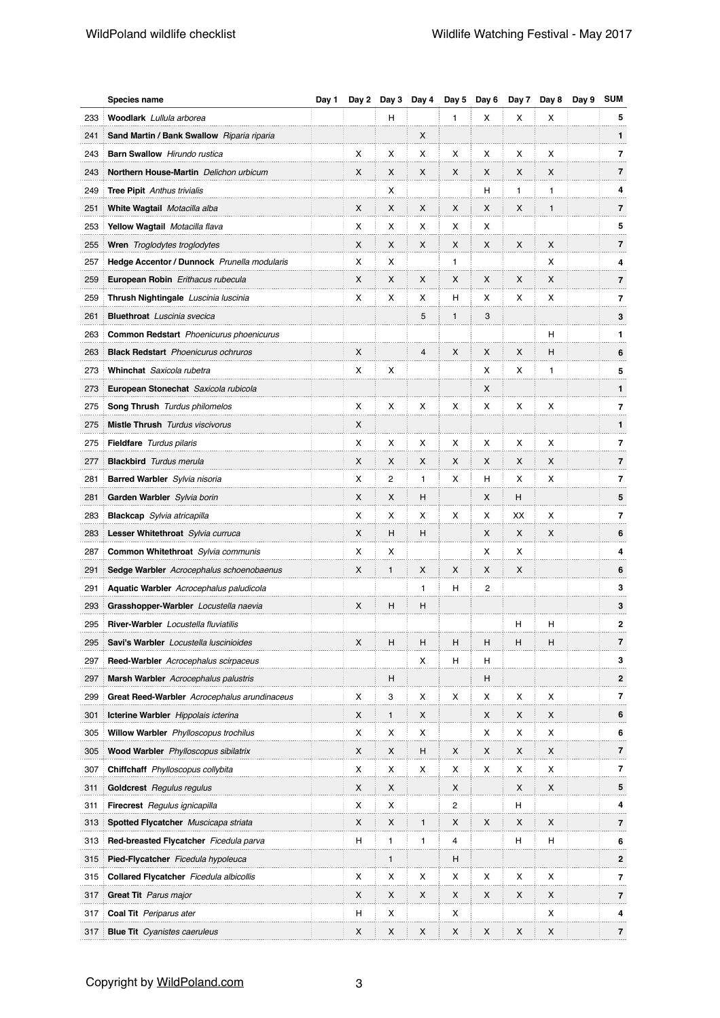|     | Species name                                   | Day 1 | Day 2 | Day 3        | Day 4          | Day 5          | Day 6 | Day 7 | Day 8 | Day 9 | <b>SUM</b>               |
|-----|------------------------------------------------|-------|-------|--------------|----------------|----------------|-------|-------|-------|-------|--------------------------|
| 233 | Woodlark Lullula arborea                       |       |       | н            |                | $\mathbf{1}$   | X     | х     | х     |       | 5                        |
| 241 | Sand Martin / Bank Swallow Riparia riparia     |       |       |              | X              |                |       |       |       |       | $\mathbf{1}$             |
| 243 | <b>Barn Swallow</b> Hirundo rustica            |       | х     | х            | X              | х              | х     | х     | x     |       | $\overline{7}$           |
| 243 | Northern House-Martin Delichon urbicum         |       | X     | X            | X              | X              | X     | X     | X     |       | $\overline{\mathbf{r}}$  |
| 249 | <b>Tree Pipit</b> Anthus trivialis             |       |       | х            |                |                | н     | 1     | 1     |       | 4                        |
| 251 | White Wagtail Motacilla alba                   |       | X     | X            | X              | X              | X     | x     | 1     |       | $\overline{\mathbf{r}}$  |
| 253 | Yellow Wagtail Motacilla flava                 |       | X     | х            | х              | х              | х     |       |       |       | 5                        |
| 255 | Wren Troglodytes troglodytes                   |       | X     | X            | X              | X              | X     | X     | X     |       | $\overline{\mathbf{r}}$  |
| 257 | Hedge Accentor / Dunnock Prunella modularis    |       | х     | х            |                | $\mathbf{1}$   |       |       | x     |       | 4                        |
| 259 | <b>European Robin</b> Erithacus rubecula       |       | X     | X            | X              | X              | X     | X     | X     |       | $\overline{7}$           |
| 259 | Thrush Nightingale Luscinia luscinia           |       | х     | х            | х              | н              | х     | х     | х     |       | $\overline{7}$           |
| 261 | <b>Bluethroat</b> Luscinia svecica             |       |       |              | 5              | $\mathbf{1}$   | 3     |       |       |       | 3                        |
| 263 | <b>Common Redstart</b> Phoenicurus phoenicurus |       |       |              |                |                |       |       | н     |       | 1                        |
| 263 | <b>Black Redstart</b> Phoenicurus ochruros     |       | X     |              | $\overline{4}$ | X              | X     | X     | н     |       | 6                        |
| 273 | Whinchat Saxicola rubetra                      |       | х     | х            |                |                | х     | х     | 1     |       | 5                        |
| 273 | European Stonechat Saxicola rubicola           |       |       |              |                |                | X     |       |       |       | $\mathbf{1}$             |
| 275 | <b>Song Thrush</b> Turdus philomelos           |       | х     | х            | х              | х              | х     | х     | х     |       | 7                        |
| 275 | <b>Mistle Thrush</b> Turdus viscivorus         |       | X     |              |                |                |       |       |       |       | $\mathbf{1}$             |
| 275 | <b>Fieldfare</b> Turdus pilaris                |       | х     | х            | х              | х              | х     | х     | х     |       | 7                        |
| 277 | <b>Blackbird</b> Turdus merula                 |       | X     | X            | X              | X              | X     | X     | X     |       | $\overline{7}$           |
| 281 | <b>Barred Warbler</b> Sylvia nisoria           |       | х     | 2            | 1              | х              | н     | х     | х     |       | 7                        |
| 281 | Garden Warbler Sylvia borin                    |       | X     | X            | н              |                | X     | н     |       |       | 5                        |
| 283 | <b>Blackcap</b> Sylvia atricapilla             |       | х     | х            | х              | х              | х     | ХX    | х     |       | $\overline{7}$           |
| 283 | Lesser Whitethroat Sylvia curruca              |       | X     | н            | н              |                | X     | X     | X     |       | 6                        |
| 287 | Common Whitethroat Sylvia communis             |       | х     | х            |                |                | х     | х     |       |       | 4                        |
| 291 | Sedge Warbler Acrocephalus schoenobaenus       |       | X     | 1            | X              | X              | X     | X     |       |       | 6                        |
| 291 | <b>Aquatic Warbler</b> Acrocephalus paludicola |       |       |              | 1              | н              | 2     |       |       |       | 3                        |
| 293 | Grasshopper-Warbler Locustella naevia          |       | X     | н            | н              |                |       |       |       |       | 3                        |
| 295 | <b>River-Warbler</b> Locustella fluviatilis    |       |       |              |                |                |       | н     | н     |       | 2                        |
| 295 | Savi's Warbler Locustella luscinioides         |       | X     | Н            | н              | н              | Н     | н     | н     |       | $\overline{\mathbf{r}}$  |
| 297 | <b>Reed-Warbler</b> Acrocephalus scirpaceus    |       |       |              | х              | н              | н     |       |       |       | 3                        |
| 297 | Marsh Warbler Acrocephalus palustris           |       |       | н            |                |                | н     |       |       |       | $\mathbf{2}$             |
| 299 | Great Reed-Warbler Acrocephalus arundinaceus   |       | х     | 3            | х              | х              | х     | х     | х     |       | 7                        |
| 301 | Icterine Warbler Hippolais icterina            |       | X     | $\mathbf{1}$ | X              |                | X     | X     | X     |       | 6                        |
| 305 | Willow Warbler Phylloscopus trochilus          |       | х     | х            | х              |                | х     | х     | х     |       | 6                        |
| 305 | Wood Warbler Phylloscopus sibilatrix           |       | X     | X            | H              | X              | X     | X     | X     |       | 7                        |
| 307 | Chiffchaff Phylloscopus collybita              |       | х     | х            | х              | х              | х     | х     | х     |       | 7                        |
| 311 | Goldcrest Regulus regulus                      |       | X     | X            |                | X              |       | X     | X     |       | 5                        |
| 311 | Firecrest Regulus ignicapilla                  |       | х     | х            |                | $\overline{2}$ |       | н     |       |       | 4                        |
| 313 | Spotted Flycatcher Muscicapa striata           |       | X     | x            | 1              | X              | X     | х     | X     |       | 7                        |
| 313 | Red-breasted Flycatcher Ficedula parva         |       | н     | 1            | 1              | 4              |       | H     | н     |       | 6                        |
| 315 | Pied-Flycatcher Ficedula hypoleuca             |       |       | $\mathbf{1}$ |                | н              |       |       |       |       | $\mathbf{2}$             |
| 315 | <b>Collared Flycatcher</b> Ficedula albicollis |       | х     | х            | х              | х              | х     | х     | х     |       | $\overline{\phantom{a}}$ |
| 317 | <b>Great Tit</b> Parus major                   |       | X     | x            | X              | X              | X     | х     | x     |       | 7                        |
| 317 | <b>Coal Tit</b> Periparus ater                 |       | н     | х            |                | х              |       |       | х     |       | 4                        |
| 317 | <b>Blue Tit</b> Cyanistes caeruleus            |       | X     | x            | X              | X              | X     | х     | x     |       | 7                        |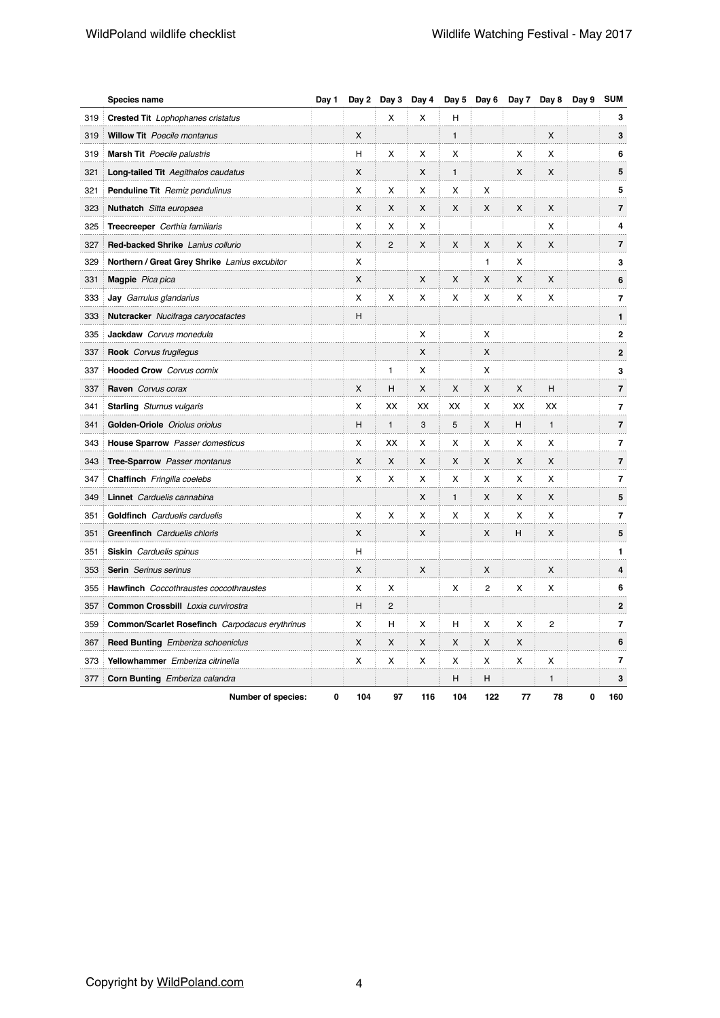|     | Species name                                   | Day 1 |     | Day 2 Day 3    | Day 4 | Day 5        | Day 6          | Day 7 | Day 8          | Day 9 | <b>SUM</b>              |
|-----|------------------------------------------------|-------|-----|----------------|-------|--------------|----------------|-------|----------------|-------|-------------------------|
| 319 | <b>Crested Tit</b> Lophophanes cristatus       |       |     | x              | X     | H            |                |       |                |       | 3                       |
| 319 | <b>Willow Tit</b> Poecile montanus             |       | X   |                |       | $\mathbf{1}$ |                |       | X              |       | 3                       |
| 319 | <b>Marsh Tit</b> Poecile palustris             |       | н   | х              | х     | X            |                | х     | x              |       | 6                       |
| 321 | <b>Long-tailed Tit Aegithalos caudatus</b>     |       | X   |                | X     | $\mathbf{1}$ |                | X     | X              |       | 5                       |
| 321 | <b>Penduline Tit</b> Remiz pendulinus          |       | X   | X              | х     | X            | X              |       |                |       | 5                       |
| 323 | Nuthatch Sitta europaea                        |       | X   | X              | X     | X            | X              | X     | X              |       | $\overline{\mathbf{r}}$ |
| 325 | Treecreeper Certhia familiaris                 |       | x   | X              | X     |              |                |       | x              |       | 4                       |
| 327 | Red-backed Shrike Lanius collurio              |       | X   | $\overline{c}$ | X     | X            | X              | X     | X              |       | 7                       |
| 329 | Northern / Great Grey Shrike Lanius excubitor  |       | X   |                |       |              | $\mathbf{1}$   | x     |                |       | 3                       |
| 331 | <b>Magpie</b> Pica pica                        |       | X   |                | X     | X            | X              | X     | X              |       | 6                       |
| 333 | <b>Jay</b> Garrulus glandarius                 |       | x   | X              | х     | х            | х              | х     | x              |       | 7                       |
| 333 | Nutcracker Nucifraga caryocatactes             |       | Н   |                |       |              |                |       |                |       | $\mathbf{1}$            |
| 335 | Jackdaw Corvus monedula                        |       |     |                | х     |              | х              |       |                |       | $\mathbf{2}$            |
| 337 | <b>Rook</b> Corvus frugilegus                  |       |     |                | X     |              | X              |       |                |       | $\mathbf 2$             |
| 337 | <b>Hooded Crow</b> Corvus cornix               |       |     | 1              | х     |              | х              |       |                |       | 3                       |
| 337 | Raven Corvus corax                             |       | X   | н              | X     | X            | X              | X     | н              |       | $\overline{\mathbf{r}}$ |
| 341 | <b>Starling</b> Sturnus vulgaris               |       | X   | XX             | XX    | ХX           | х              | XX    | XX             |       | 7                       |
| 341 | Golden-Oriole Oriolus oriolus                  |       | н   | 1              | 3     | 5            | X              | н     | 1              |       | $\overline{\mathbf{r}}$ |
| 343 | House Sparrow Passer domesticus                |       | X   | XX             | х     | x            | x              | х     | x              |       | 7                       |
| 343 | <b>Tree-Sparrow</b> Passer montanus            |       | X   | X              | X     | X            | X              | X     | X              |       | 7                       |
| 347 | <b>Chaffinch</b> Fringilla coelebs             |       | X   | x              | X     | X            | X              | X     | X              |       | 7                       |
| 349 | Linnet Carduelis cannabina                     |       |     |                | X     | $\mathbf{1}$ | X              | X     | X              |       | 5                       |
| 351 | <b>Goldfinch</b> Carduelis carduelis           |       | x   | x              | х     | X            | х              | X     | x              |       | $\overline{\mathbf{r}}$ |
| 351 | <b>Greenfinch</b> Carduelis chloris            |       | X   |                | X     |              | X              | н     | X              |       | 5                       |
| 351 | <b>Siskin</b> Carduelis spinus                 |       | н   |                |       |              |                |       |                |       | 1                       |
| 353 | <b>Serin</b> Serinus serinus                   |       | X   |                | X     |              | X              |       | X              |       | 4                       |
| 355 | Hawfinch Coccothraustes coccothraustes         |       | X   | X              |       | X            | $\overline{c}$ | X     | X              |       | 6                       |
| 357 | Common Crossbill Loxia curvirostra             |       | н   | $\overline{2}$ |       |              |                |       |                |       | $\mathbf 2$             |
| 359 | Common/Scarlet Rosefinch Carpodacus erythrinus |       | x   | н              | X     | н            | x              | х     | $\overline{c}$ |       | 7                       |
| 367 | <b>Reed Bunting</b> Emberiza schoeniclus       |       | X   | X              | X     | X            | X              | X     |                |       | 6                       |
| 373 | Yellowhammer Emberiza citrinella               |       | X   | х              | X     | X            | X              | X     | х              |       | 7                       |
| 377 | Corn Bunting Emberiza calandra                 |       |     |                |       | н            | н              |       | 1              |       | 3                       |
|     | Number of species:                             | 0     | 104 | 97             | 116   | 104          | 122            | 77    | 78             | 0     | 160                     |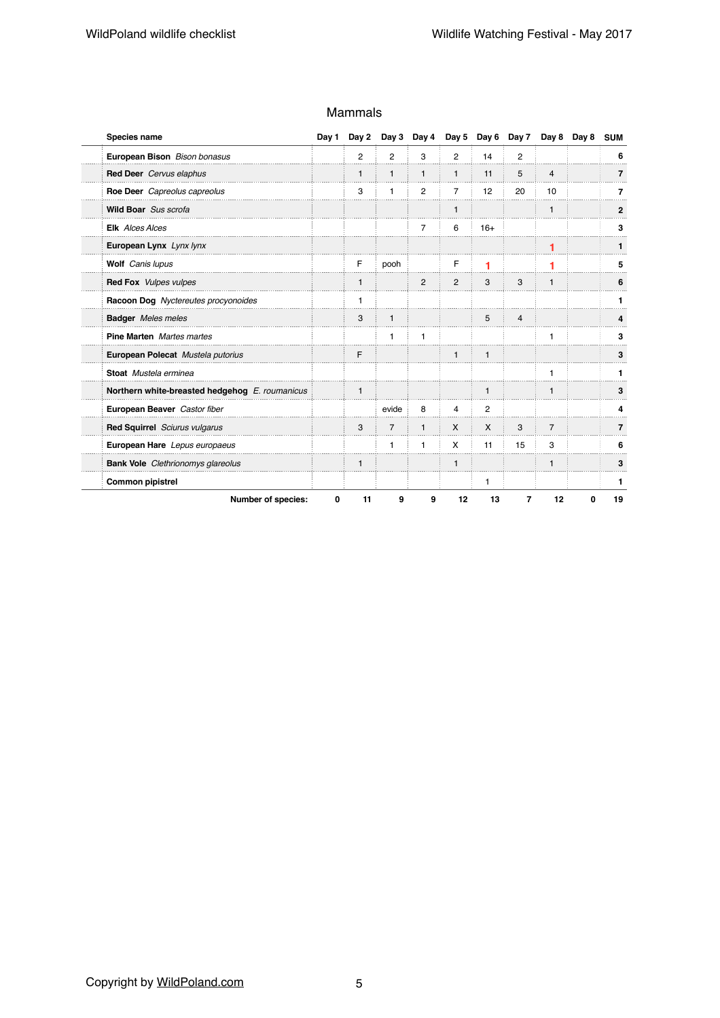| Species name                                   | Day 1 | Day 2          |                | Day 3 Day 4    |                |                | Day 5 Day 6 Day 7 |                | Day 8 Day 8 | <b>SUM</b>     |
|------------------------------------------------|-------|----------------|----------------|----------------|----------------|----------------|-------------------|----------------|-------------|----------------|
| European Bison Bison bonasus                   |       | $\overline{2}$ | $\overline{2}$ | 3              | $\overline{2}$ | 14             | $\overline{2}$    |                |             | 6              |
| Red Deer Cervus elaphus                        |       | $\mathbf{1}$   | $\mathbf{1}$   | $\mathbf{1}$   | $\mathbf{1}$   | 11             | 5                 | $\overline{4}$ |             | $\overline{7}$ |
| Roe Deer Capreolus capreolus                   |       | 3              | 1              | $\overline{c}$ | $\overline{7}$ | 12             | 20                | 10             |             | 7              |
| Wild Boar Sus scrofa                           |       |                |                |                | $\mathbf{1}$   |                |                   | $\mathbf{1}$   |             | $\mathbf{2}$   |
| <b>Elk</b> Alces Alces                         |       |                |                | 7              | 6              | $16+$          |                   |                |             | 3              |
| European Lynx Lynx lynx                        |       |                |                |                |                |                |                   | 1              |             |                |
| Wolf Canis lupus                               |       | F              | pooh           |                | F              | 1              |                   | 1              |             | 5              |
| <b>Red Fox</b> Vulpes vulpes                   |       | $\mathbf{1}$   |                | $\overline{2}$ | $\overline{c}$ | 3              | 3                 | $\mathbf{1}$   |             | 6              |
| Racoon Dog Nyctereutes procyonoides            |       | $\mathbf{1}$   |                |                |                |                |                   |                |             | 1              |
| <b>Badger</b> Meles meles                      |       | 3              | $\mathbf{1}$   |                |                | 5              | $\overline{4}$    |                |             | 4              |
| <b>Pine Marten</b> Martes martes               |       |                | 1              | $\mathbf{1}$   |                |                |                   | 1              |             | 3              |
| European Polecat Mustela putorius              |       | F              |                |                | $\mathbf{1}$   | $\mathbf{1}$   |                   |                |             | 3              |
| Stoat Mustela erminea                          |       |                |                |                |                |                |                   | $\mathbf{1}$   |             | 1              |
| Northern white-breasted hedgehog E. roumanicus |       | $\mathbf{1}$   |                |                |                | $\mathbf{1}$   |                   | $\mathbf{1}$   |             | 3              |
| European Beaver Castor fiber                   |       |                | evide          | 8              | 4              | $\overline{2}$ |                   |                |             | 4              |
| Red Squirrel Sciurus vulgarus                  |       | 3              | $\overline{7}$ | $\mathbf{1}$   | $\mathsf{x}$   | $\mathsf{x}$   | 3                 | $\overline{7}$ |             | $\overline{7}$ |
| European Hare Lepus europaeus                  |       |                | 1              | $\mathbf{1}$   | X              | 11             | 15                | 3              |             | 6              |
| <b>Bank Vole</b> Clethrionomys glareolus       |       | $\mathbf{1}$   |                |                | $\mathbf{1}$   |                |                   | $\mathbf{1}$   |             | 3              |
| <b>Common pipistrel</b>                        |       |                |                |                |                | 1              |                   |                |             | 1              |
| Number of species:                             | 0     | 11             | 9              | 9              | 12             | 13             | $\overline{7}$    | 12             | 0           | 19             |

#### Mammals